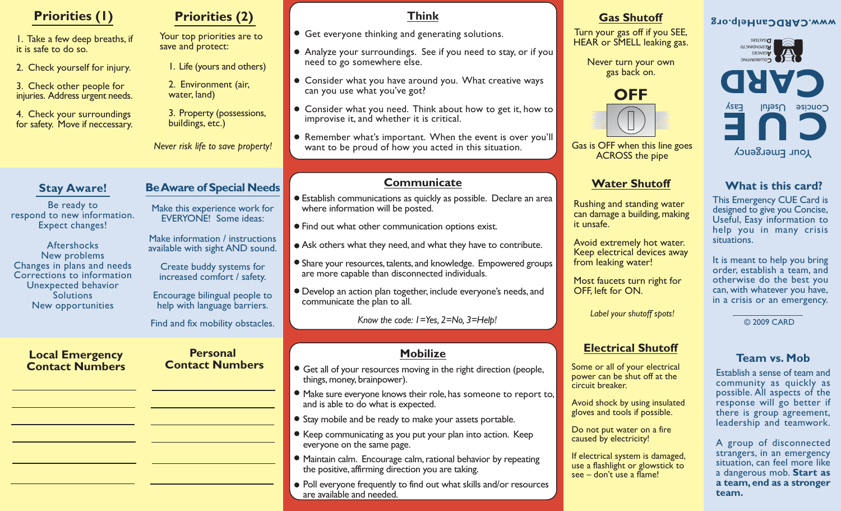| <b>Priorities (1)</b>                                         | <b>Priorities (2)</b>                                              | <b>Think</b>                                                                                                         | <b>Gas Shutoff</b>                                                                               | <b>g</b> o.qlaHnaOQRAO.www                                                               |
|---------------------------------------------------------------|--------------------------------------------------------------------|----------------------------------------------------------------------------------------------------------------------|--------------------------------------------------------------------------------------------------|------------------------------------------------------------------------------------------|
| I. Take a few deep breaths, if                                | Your top priorities are to                                         | • Get everyone thinking and generating solutions.                                                                    | Turn your gas off if you SEE,<br>HEAR or SMELL leaking gas.                                      | <b>DISASTERS</b><br><b>DISASTERS</b>                                                     |
| it is safe to do so.                                          | save and protect:                                                  | • Analyze your surroundings. See if you need to stay, or if you<br>need to go somewhere else.                        | Never turn your own                                                                              | <b>AGENCIES</b><br>OLLABORATING                                                          |
| 2. Check yourself for injury.                                 | I. Life (yours and others)                                         |                                                                                                                      | gas back on.                                                                                     |                                                                                          |
| 3. Check other people for<br>injuries. Address urgent needs.  | 2. Environment (air,<br>water, land)                               | • Consider what you have around you. What creative ways<br>can you use what you've got?                              | <b>OFF</b>                                                                                       | CARD                                                                                     |
| 4. Check your surroundings<br>for safety. Move if neccessary. | 3. Property (possessions,<br>buildings, etc.)                      | • Consider what you need. Think about how to get it, how to<br>improvise it, and whether it is critical.             |                                                                                                  | KSE<br>Concise<br>$\mu$ lutas $\cup$                                                     |
|                                                               | Never risk life to save property!                                  | • Remember what's important. When the event is over you'll<br>want to be proud of how you acted in this situation.   | Gas is OFF when this line goes<br><b>ACROSS</b> the pipe                                         | Your Emergency                                                                           |
|                                                               |                                                                    |                                                                                                                      |                                                                                                  |                                                                                          |
| <b>Stay Aware!</b>                                            | <b>Be Aware of Special Needs</b>                                   | Communicate                                                                                                          | <b>Water Shutoff</b>                                                                             | What is this card?                                                                       |
| Be ready to                                                   | Make this experience work for                                      | • Establish communications as quickly as possible. Declare an area<br>where information will be posted.              | Rushing and standing water                                                                       | This Emergency CUE Card is<br>designed to give you Concise,                              |
| respond to new information.<br><b>Expect changes!</b>         | <b>EVERYONE!</b> Some ideas:                                       | • Find out what other communication options exist.                                                                   | can damage a building, making<br>it unsafe.                                                      | Useful, Easy information to<br>help you in many crisis                                   |
| <b>Aftershocks</b>                                            | Make information / instructions<br>available with sight AND sound. | • Ask others what they need, and what they have to contribute.                                                       | Avoid extremely hot water.                                                                       | situations.                                                                              |
| New problems<br>Changes in plans and needs                    | Create buddy systems for                                           | • Share your resources, talents, and knowledge. Empowered groups                                                     | Keep electrical devices away<br>from leaking water!                                              | It is meant to help you bring                                                            |
| Corrections to information<br>Unexpected behavior             | increased comfort / safety.                                        | are more capable than disconnected individuals.                                                                      | Most faucets turn right for                                                                      | order, establish a team, and<br>otherwise do the best you                                |
| <b>Solutions</b><br>New opportunities                         | Encourage bilingual people to<br>help with language barriers.      | • Develop an action plan together, include everyone's needs, and<br>communicate the plan to all.                     | OFF, left for ON.                                                                                | can, with whatever you have,<br>in a crisis or an emergency.                             |
|                                                               | Find and fix mobility obstacles.                                   | Know the code: I = Yes, 2 = No, 3 = Help!                                                                            | Label your shutoff spots!                                                                        | © 2009 CARD                                                                              |
|                                                               |                                                                    |                                                                                                                      |                                                                                                  |                                                                                          |
| <b>Local Emergency</b>                                        | <b>Personal</b>                                                    | <b>Mobilize</b>                                                                                                      | <b>Electrical Shutoff</b>                                                                        | <b>Team vs. Mob</b>                                                                      |
| <b>Contact Numbers</b>                                        | <b>Contact Numbers</b>                                             | • Get all of your resources moving in the right direction (people,<br>things, money, brainpower).                    | Some or all of your electrical<br>power can be shut off at the<br>circuit breaker.               | Establish a sense of team and<br>community as quickly as                                 |
|                                                               |                                                                    | • Make sure everyone knows their role, has someone to report to,<br>and is able to do what is expected.              | Avoid shock by using insulated                                                                   | possible. All aspects of the<br>response will go better if                               |
|                                                               |                                                                    | • Stay mobile and be ready to make your assets portable.                                                             | gloves and tools if possible.                                                                    | there is group agreement,<br>leadership and teamwork.                                    |
|                                                               |                                                                    | • Keep communicating as you put your plan into action. Keep<br>everyone on the same page.                            | Do not put water on a fire<br>caused by electricity!                                             | A group of disconnected                                                                  |
|                                                               |                                                                    | • Maintain calm. Encourage calm, rational behavior by repeating<br>the positive, affirming direction you are taking. | If electrical system is damaged,<br>use a flashlight or glowstick to<br>see - don't use a flame! | strangers, in an emergency<br>situation, can feel more like<br>a dangerous mob. Start as |
|                                                               |                                                                    | • Poll everyone frequently to find out what skills and/or resources<br>are available and needed.                     |                                                                                                  | a team, end as a stronger<br>team.                                                       |